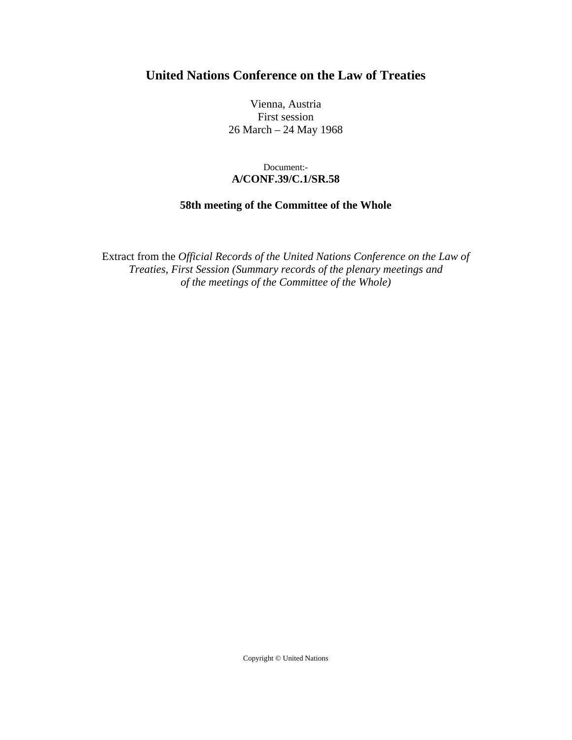## **United Nations Conference on the Law of Treaties**

Vienna, Austria First session 26 March – 24 May 1968

## Document:- **A/CONF.39/C.1/SR.58**

## **58th meeting of the Committee of the Whole**

Extract from the *Official Records of the United Nations Conference on the Law of Treaties, First Session (Summary records of the plenary meetings and of the meetings of the Committee of the Whole)* 

Copyright © United Nations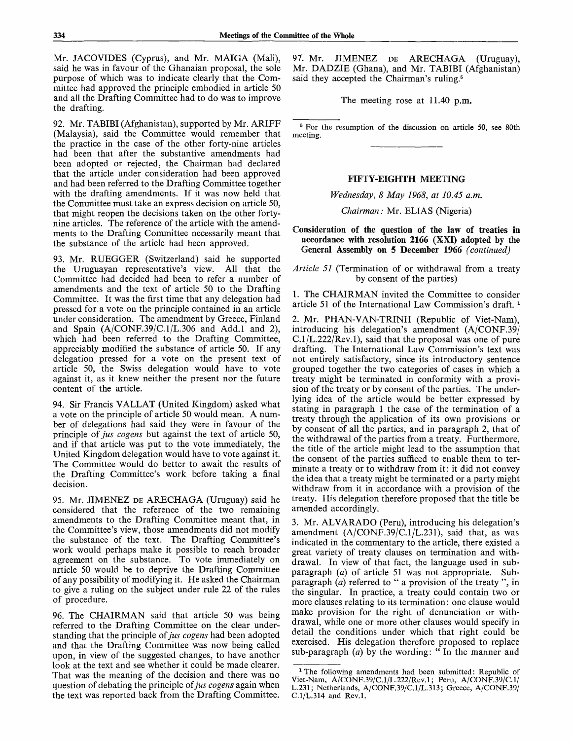Mr. JACOVIDES (Cyprus), and Mr. MAIGA (Mali), said he was in favour of the Ghanaian proposal, the sole purpose of which was to indicate clearly that the Committee had approved the principle embodied in article 50 and all the Drafting Committee had to do was to improve the drafting.

92. Mr. TABIBI (Afghanistan), supported by Mr. ARIFF (Malaysia), said the Committee would remember that the practice in the case of the other forty-nine articles had been that after the substantive amendments had been adopted or rejected, the Chairman had declared that the article under consideration had been approved and had been referred to the Drafting Committee together with the drafting amendments. If it was now held that the Committee must take an express decision on article 50, that might reopen the decisions taken on the other fortynine articles. The reference of the article with the amendments to the Drafting Committee necessarily meant that the substance of the article had been approved.

93. Mr. RUEGGER (Switzerland) said he supported the Uruguayan representative's view. All that the Committee had decided had been to refer a number of amendments and the text of article 50 to the Drafting Committee. It was the first time that any delegation had pressed for a vote on the principle contained in an article under consideration. The amendment by Greece, Finland and Spain  $(A/CONF.39/C.1/L.306$  and Add.1 and 2), which had been referred to the Drafting Committee, appreciably modified the substance of article 50. If any delegation pressed for a vote on the present text of article 50, the Swiss delegation would have to vote against it, as it knew neither the present nor the future content of the article.

94. Sir Francis VALLAT (United Kingdom) asked what a vote on the principle of article 50 would mean. A number of delegations had said they were in favour of the principle *of jus cogens* but against the text of article 50, and if that article was put to the vote immediately, the United Kingdom delegation would have to vote against it. The Committee would do better to await the results of the Drafting Committee's work before taking a final decision.

95. Mr. JIMENEZ DE ARECHAGA (Uruguay) said he considered that the reference of the two remaining amendments to the Drafting Committee meant that, in the Committee's view, those amendments did not modify the substance of the text. The Drafting Committee's work would perhaps make it possible to reach broader agreement on the substance. To vote immediately on article 50 would be to deprive the Drafting Committee of any possibility of modifying it. He asked the Chairman to give a ruling on the subject under rule 22 of the rules of procedure.

96. The CHAIRMAN said that article 50 was being referred to the Drafting Committee on the clear understanding that the principle of *jus cogens* had been adopted and that the Drafting Committee was now being called upon, in view of the suggested changes, to have another look at the text and see whether it could be made clearer. That was the meaning of the decision and there was no question of debating the principle *of jus cogens* again when the text was reported back from the Drafting Committee. 97. Mr. JIMENEZ DE ARECHAGA (Uruguay), Mr. DADZIE (Ghana), and Mr. TABIBI (Afghanistan) said they accepted the Chairman's ruling.<sup>5</sup>

The meeting rose at 11.40 p.m.

<sup>5</sup> For the resumption of the discussion on article 50, see 80th meeting.

## FIFTY-EIGHTH MEETING

*Wednesday, 8 May 1968, at 10.45 a.m.*

*Chairman: Mr. ELIAS (Nigeria)* 

**Consideration of the question of the law of treaties in accordance with resolution 2166** (XXI) **adopted** by **the** General **Assembly on 5 December 1966** *(continued)*

*Article 51* (Termination of or withdrawal from a treaty by consent of the parties)

1. The CHAIRMAN invited the Committee to consider article 51 of the International Law Commission's draft.<sup>1</sup>

2. Mr. PHAN-VAN-TRINH (Republic of Viet-Nam), introducing his delegation's amendment (A/CONF.39/ C.l/L.222/Rev.l), said that the proposal was one of pure drafting. The International Law Commission's text was not entirely satisfactory, since its introductory sentence grouped together the two categories of cases in which a treaty might be terminated in conformity with a provision of the treaty or by consent of the parties. The underlying idea of the article would be better expressed by stating in paragraph 1 the case of the termination of a treaty through the application of its own provisions or by consent of all the parties, and in paragraph 2, that of the withdrawal of the parties from a treaty. Furthermore, the title of the article might lead to the assumption that the consent of the parties sufficed to enable them to terminate a treaty or to withdraw from it: it did not convey the idea that a treaty might be terminated or a party might withdraw from it in accordance with a provision of the treaty. His delegation therefore proposed that the title be amended accordingly.

3. Mr. ALVARADO (Peru), introducing his delegation's amendment  $(A/CONF.39/C.1/L.231)$ , said that, as was indicated in the commentary to the article, there existed a great variety of treaty clauses on termination and withdrawal. In view of that fact, the language used in subparagraph *(a)* of article 51 was not appropriate. Subparagraph *(a)* referred to " a provision of the treaty ", in the singular. In practice, a treaty could contain two or more clauses relating to its termination: one clause would make provision for the right of denunciation or withdrawal, while one or more other clauses would specify in detail the conditions under which that right could be exercised. His delegation therefore proposed to replace sub-paragraph *(a)* by the wording: " In the manner and

<sup>&</sup>lt;sup>1</sup> The following amendments had been submitted: Republic of Viet-Nam, A/CONF.39/C.l/L.222/Rev.l; Peru, A/CONF.39/C.1/ L.231; Netherlands, A/CONF.39/C.1/L.313; Greece, A/CONF.39/ C.1/L.314 and Rev.l.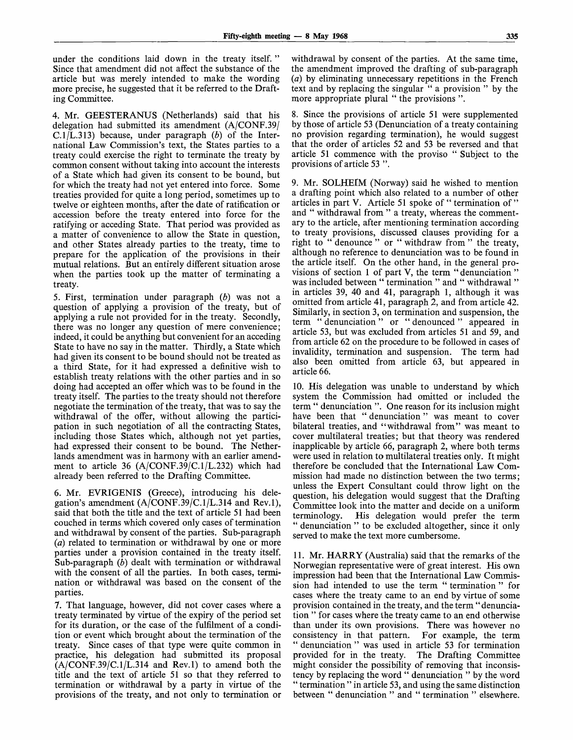under the conditions laid down in the treaty itself. " Since that amendment did not affect the substance of the article but was merely intended to make the wording more precise, he suggested that it be referred to the Drafting Committee.

4. Mr. GEESTERANUS (Netherlands) said that his delegation had submitted its amendment (A/CONF.39/ C.1/L.313) because, under paragraph  $(b)$  of the International Law Commission's text, the States parties to a treaty could exercise the right to terminate the treaty by common consent without taking into account the interests of a State which had given its consent to be bound, but for which the treaty had not yet entered into force. Some treaties provided for quite a long period, sometimes up to twelve or eighteen months, after the date of ratification or accession before the treaty entered into force for the ratifying or acceding State. That period was provided as a matter of convenience to allow the State in question, and other States already parties to the treaty, time to prepare for the application of the provisions in their mutual relations. But an entirely different situation arose when the parties took up the matter of terminating a treaty.

5. First, termination under paragraph *(b)* was not a question of applying a provision of the treaty, but of applying a rule not provided for in the treaty. Secondly, there was no longer any question of mere convenience; indeed, it could be anything but convenient for an acceding State to have no say in the matter. Thirdly, a State which had given its consent to be bound should not be treated as a third State, for it had expressed a definitive wish to establish treaty relations with the other parties and in so doing had accepted an offer which was to be found in the treaty itself. The parties to the treaty should not therefore negotiate the termination of the treaty, that was to say the withdrawal of the offer, without allowing the participation in such negotiation of all the contracting States, including those States which, although not yet parties, had expressed their consent to be bound. The Netherlands amendment was in harmony with an earlier amendment to article 36 (A/CONF.39/C.1/L.232) which had already been referred to the Drafting Committee.

6. Mr. EVRIGENIS (Greece), introducing his delegation's amendment  $(A/CONF.39/C.1/L.314$  and Rev.1), said that both the title and the text of article 51 had been couched in terms which covered only cases of termination and withdrawal by consent of the parties. Sub-paragraph *(a)* related to termination or withdrawal by one or more parties under a provision contained in the treaty itself. Sub-paragraph (b) dealt with termination or withdrawal with the consent of all the parties. In both cases, termination or withdrawal was based on the consent of the parties.

7. That language, however, did not cover cases where a treaty terminated by virtue of the expiry of the period set for its duration, or the case of the fulfilment of a condition or event which brought about the termination of the treaty. Since cases of that type were quite common in practice, his delegation had submitted its proposal  $(A/CONF.39/C.1/L.314$  and Rev.1) to amend both the title and the text of article 51 so that they referred to termination or withdrawal by a party in virtue of the provisions of the treaty, and not only to termination or

withdrawal by consent of the parties. At the same time, the amendment improved the drafting of sub-paragraph *(a)* by eliminating unnecessary repetitions in the French text and by replacing the singular " a provision " by the more appropriate plural " the provisions ".

8. Since the provisions of article 51 were supplemented by those of article 53 (Denunciation of a treaty containing no provision regarding termination), he would suggest that the order of articles 52 and 53 be reversed and that article 51 commence with the proviso " Subject to the provisions of article 53 ".

9. Mr. SOLHEIM (Norway) said he wished to mention a drafting point which also related to a number of other articles in part V. Article 51 spoke of " termination of " and " withdrawal from " a treaty, whereas the commentary to the article, after mentioning termination according to treaty provisions, discussed clauses providing for a right to " denounce " or " withdraw from " the treaty, although no reference to denunciation was to be found in the article itself. On the other hand, in the general provisions of section 1 of part V, the term " denunciation " was included between " termination " and " withdrawal " in articles 39, 40 and 41, paragraph 1, although it was omitted from article 41, paragraph 2, and from article 42. Similarly, in section 3, on termination and suspension, the term " denunciation " or " denounced " appeared in article 53, but was excluded from articles 51 and 59, and from article 62 on the procedure to be followed in cases of invalidity, termination and suspension. The term had also been omitted from article 63, but appeared in article 66.

10. His delegation was unable to understand by which system the Commission had omitted or included the term " denunciation ". One reason for its inclusion might have been that " denunciation " was meant to cover bilateral treaties, and "withdrawal from" was meant to cover multilateral treaties; but that theory was rendered inapplicable by article 66, paragraph 2, where both terms were used in relation to multilateral treaties only. It might therefore be concluded that the International Law Commission had made no distinction between the two terms; unless the Expert Consultant could throw light on the question, his delegation would suggest that the Drafting Committee look into the matter and decide on a uniform<br>terminology. His delegation would prefer the term His delegation would prefer the term " denunciation " to be excluded altogether, since it only served to make the text more cumbersome.

11. Mr. HARRY (Australia) said that the remarks of the Norwegian representative were of great interest. His own impression had been that the International Law Commission had intended to use the term " termination " for cases where the treaty came to an end by virtue of some provision contained in the treaty, and the term "denunciation " for cases where the treaty came to an end otherwise than under its own provisions. There was however no consistency in that pattern. For example, the term " denunciation " was used in article 53 for termination provided for in the treaty. The Drafting Committee might consider the possibility of removing that inconsistency by replacing the word " denunciation " by the word " termination " in article 53, and using the same distinction between " denunciation " and " termination " elsewhere.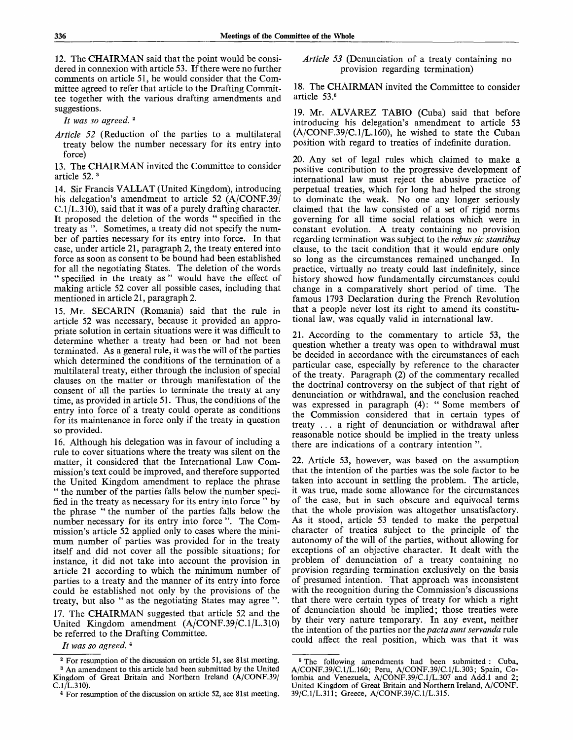12. The CHAIRMAN said that the point would be considered in connexion with article 53. If there were no further comments on article 51, he would consider that the Committee agreed to refer that article to the Drafting Committee together with the various drafting amendments and suggestions.

*It was so agreed.*<sup>2</sup>

*Article 52* (Reduction of the parties to a multilateral treaty below the number necessary for its entry into force)

13. The CHAIRMAN invited the Committee to consider article 52.<sup>3</sup>

14. Sir Francis VALLAT (United Kingdom), introducing his delegation's amendment to article 52 (A/CONF.39) C.1/L.310), said that it was of a purely drafting character. It proposed the deletion of the words " specified in the treaty as ". Sometimes, a treaty did not specify the number of parties necessary for its entry into force. In that case, under article 21, paragraph 2, the treaty entered into force as soon as consent to be bound had been established for all the negotiating States. The deletion of the words " specified in the treaty as " would have the effect of making article 52 cover all possible cases, including that mentioned in article 21, paragraph 2.

15. Mr. SECARIN (Romania) said that the rule in article 52 was necessary, because it provided an appropriate solution in certain situations were it was difficult to determine whether a treaty had been or had not been terminated. As a general rule, it was the will of the parties which determined the conditions of the termination of a multilateral treaty, either through the inclusion of special clauses on the matter or through manifestation of the consent of all the parties to terminate the treaty at any time, as provided in article 51. Thus, the conditions of the entry into force of a treaty could operate as conditions for its maintenance in force only if the treaty in question so provided.

16. Although his delegation was in favour of including a rule to cover situations where the treaty was silent on the matter, it considered that the International Law Commission's text could be improved, and therefore supported the United Kingdom amendment to replace the phrase " the number of the parties falls below the number specified in the treaty as necessary for its entry into force " by the phrase " the number of the parties falls below the number necessary for its entry into force ". The Commission's article 52 applied only to cases where the minimum number of parties was provided for in the treaty itself and did not cover all the possible situations; for instance, it did not take into account the provision in article 21 according to which the minimum number of parties to a treaty and the manner of its entry into force could be established not only by the provisions of the treaty, but also " as the negotiating States may agree ".

17. The CHAIRMAN suggested that article 52 and the United Kingdom amendment (A/CONF.39/C.1/L.310) be referred to the Drafting Committee.

*It was so agreed.*<sup>4</sup>

*Article 53* (Denunciation of a treaty containing no provision regarding termination)

18. The CHAIRMAN invited the Committee to consider article 53.<sup>6</sup>

19. Mr. ALVAREZ TABIO (Cuba) said that before introducing his delegation's amendment to article 53 (A/CONF.39/C.1/L.160), he wished to state the Cuban position with regard to treaties of indefinite duration.

20. Any set of legal rules which claimed to make a positive contribution to the progressive development of international law must reject the abusive practice of perpetual treaties, which for long had helped the strong to dominate the weak. No one any longer seriously claimed that the law consisted of a set of rigid norms governing for all time social relations which were in constant evolution. A treaty containing no provision regarding termination was subject to the *rebus sic stantibus* clause, to the tacit condition that it would endure only so long as the circumstances remained unchanged. In practice, virtually no treaty could last indefinitely, since history showed how fundamentally circumstances could change in a comparatively short period of time. The famous 1793 Declaration during the French Revolution that a people never lost its right to amend its constitutional law, was equally valid in international law.

21. According to the commentary to article 53, the question whether a treaty was open to withdrawal must be decided in accordance with the circumstances of each particular case, especially by reference to the character of the treaty. Paragraph (2) of the commentary recalled the doctrinal controversy on the subject of that right of denunciation or withdrawal, and the conclusion reached was expressed in paragraph (4): " Some members of the Commission considered that in certain types of treaty .. . a right of denunciation or withdrawal after reasonable notice should be implied in the treaty unless there are indications of a contrary intention ".

22. Article 53, however, was based on the assumption that the intention of the parties was the sole factor to be taken into account in settling the problem. The article, it was true, made some allowance for the circumstances of the case, but in such obscure and equivocal terms that the whole provision was altogether unsatisfactory. As it stood, article 53 tended to make the perpetual character of treaties subject to the principle of the autonomy of the will of the parties, without allowing for exceptions of an objective character. It dealt with the problem of denunciation of a treaty containing no provision regarding termination exclusively on the basis of presumed intention. That approach was inconsistent with the recognition during the Commission's discussions that there were certain types of treaty for which a right of denunciation should be implied; those treaties were by their very nature temporary. In any event, neither the intention of the parties nor the *pacta sunt servanda* rule could affect the real position, which was that it was

<sup>&</sup>lt;sup>2</sup> For resumption of the discussion on article 51, see 81st meeting. <sup>3</sup> An amendment to this article had been submitted by the United

Kingdom of Great Britain and Northern Ireland (A/CONF.39/  $C.1/L.310$ .

<sup>4</sup> For resumption of the discussion on article 52, see 81st meeting.

<sup>&</sup>lt;sup>5</sup> The following amendments had been submitted : Cuba, A/CONF.39/C.1/L.160; Peru, A/CONF.39/C.1/L.303; Spain, Colombia and Venezuela, A/CONF.39/C.1/L.307 and Add.1 and 2; United Kingdom of Great Britain and Northern Ireland, **A/CONF.** 39/C.1/L.311; Greece, A/CONF.39/C.1/L.315.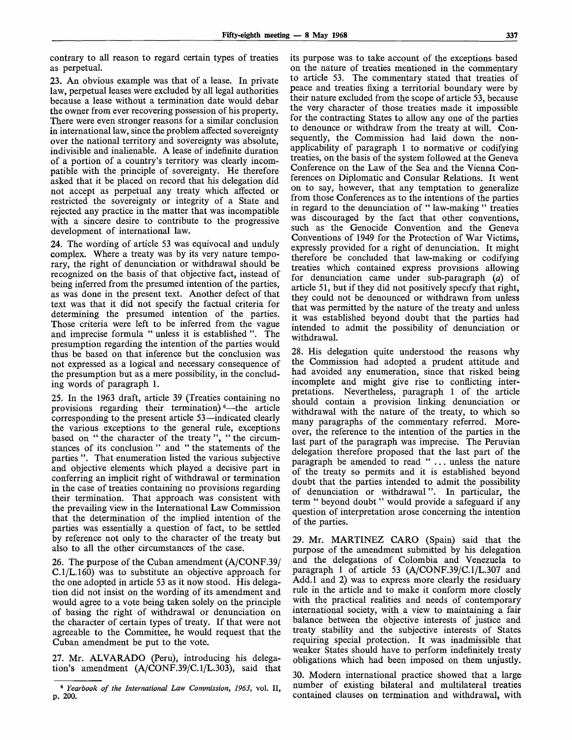contrary to all reason to regard certain types of treaties as perpetual.

23. An obvious example was that of a lease. In private law, perpetual leases were excluded by all legal authorities because a lease without a termination date would debar the owner from ever recovering possession of his property. There were even stronger reasons for a similar conclusion in international law, since the problem affected sovereignty over the national territory and sovereignty was absolute, indivisible and inalienable. A lease of indefinite duration of a portion of a country's territory was clearly incompatible with the principle of sovereignty. He therefore asked that it be placed on record that his delegation did not accept as perpetual any treaty which affected or restricted the sovereignty or integrity of a State and rejected any practice in the matter that was incompatible with a sincere desire to contribute to the progressive development of international law.

24. The wording of article 53 was equivocal and unduly complex. Where a treaty was by its very nature temporary, the right of denunciation or withdrawal should be recognized on the basis of that objective fact, instead of being inferred from the presumed intention of the parties, as was done in the present text. Another defect of that text was that it did not specify the factual criteria for determining the presumed intention of the parties. Those criteria were left to be inferred from the vague and imprecise formula " unless it is established ". The presumption regarding the intention of the parties would thus be based on that inference but the conclusion was not expressed as a logical and necessary consequence of the presumption but as a mere possibility, in the concluding words of paragraph 1.

25. In the 1963 draft, article 39 (Treaties containing no provisions regarding their termination)<sup>6</sup>—the article corresponding to the present article 53—indicated clearly the various exceptions to the general rule, exceptions based on " the character of the treaty ", " the circumstances of its conclusion " and " the statements of the parties ". That enumeration listed the various subjective and objective elements which played a decisive part in conferring an implicit right of withdrawal or termination in the case of treaties containing no provisions regarding their termination. That approach was consistent with the prevailing view in the International Law Commission that the determination of the implied intention of the parties was essentially a question of fact, to be settled by reference not only to the character of the treaty but also to all the other circumstances of the case.

26. The purpose of the Cuban amendment (A/CONF.39/ C.1/L.160) was to substitute an objective approach for the one adopted in article 53 as it now stood. His delegation did not insist on the wording of its amendment and would agree to a vote being taken solely on the principle of basing the right of withdrawal or denunciation on the character of certain types of treaty. If that were not agreeable to the Committee, he would request that the Cuban amendment be put to the vote.

27. Mr. ALVARADO (Peru), introducing his delegation's amendment (A/CONF.39/C.1/L.303), said that its purpose was to take account of the exceptions based on the nature of treaties mentioned in the commentary to article 53. The commentary stated that treaties of peace and treaties fixing a territorial boundary were by their nature excluded from the scope of article 53, because the very character of those treaties made it impossible for the contracting States to allow any one of the parties to denounce or withdraw from the treaty at will. Consequently, the Commission had laid down the nonapplicability of paragraph 1 to normative or codifying treaties, on the basis of the system followed at the Geneva Conference on the Law of the Sea and the Vienna Conferences on Diplomatic and Consular Relations. It went on to say, however, that any temptation to generalize from those Conferences as to the intentions of the parties in regard to the denunciation of " law-making " treaties was discouraged by the fact that other conventions, such as the Genocide Convention and the Geneva Conventions of 1949 for the Protection of War Victims, expressly provided for a right of denunciation. It might therefore be concluded that law-making or codifying treaties which contained express provisions allowing for denunciation came under sub-paragraph *(a)* of article 51, but if they did not positively specify that right, they could not be denounced or withdrawn from unless that was permitted by the nature of the treaty and unless it was established beyond doubt that the parties had intended to admit the possibility of denunciation or withdrawal.

28. His delegation quite understood the reasons why the Commission had adopted a prudent attitude and had avoided any enumeration, since that risked being incomplete and might give rise to conflicting interpretations. Nevertheless, paragraph 1 of the article should contain a provision linking denunciation or withdrawal with the nature of the treaty, to which so many paragraphs of the commentary referred. Moreover, the reference to the intention of the parties in the last part of the paragraph was imprecise. The Peruvian delegation therefore proposed that the last part of the paragraph be amended to read "... unless the nature of the treaty so permits and it is established beyond doubt that the parties intended to admit the possibility of denunciation or withdrawal". In particular, the term " beyond doubt " would provide a safeguard if any question of interpretation arose concerning the intention of the parties.

29. Mr. MARTINEZ CARO (Spain) said that the purpose of the amendment submitted by his delegation and the delegations of Colombia and Venezuela to paragraph 1 of article 53 (A/CONF.39/C.1/L.307 and Add.l and 2) was to express more clearly the residuary rule in the article and to make it conform more closely with the practical realities and needs of contemporary international society, with a view to maintaining a fair balance between the objective interests of justice and treaty stability and the subjective interests of States requiring special protection. It was inadmissible that weaker States should have to perform indefinitely treaty obligations which had been imposed on them unjustly.

30. Modern international practice showed that a large number of existing bilateral and multilateral treaties contained clauses on termination and withdrawal, with

<sup>6</sup>  *Yearbook of the International Law Commission, 1963,* vol. II, p. 200.